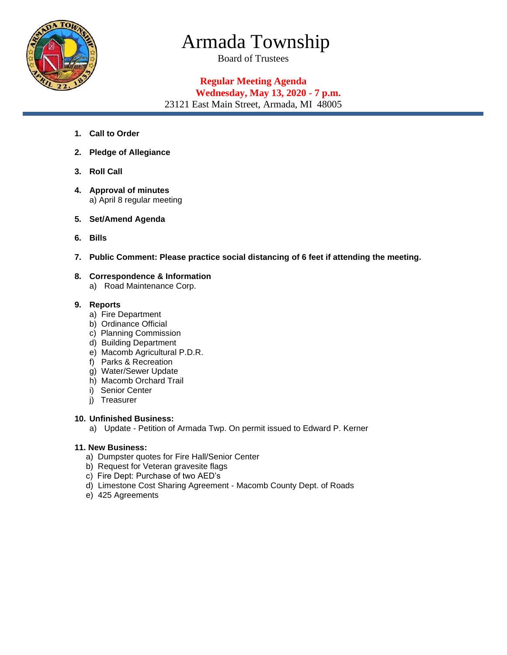

# Armada Township

Board of Trustees

## **Regular Meeting Agenda Wednesday, May 13, 2020 - 7 p.m.**

23121 East Main Street, Armada, MI 48005

- **1. Call to Order**
- **2. Pledge of Allegiance**
- **3. Roll Call**
- **4. Approval of minutes**  a) April 8 regular meeting
- **5. Set/Amend Agenda**
- **6. Bills**
- **7. Public Comment: Please practice social distancing of 6 feet if attending the meeting.**
- **8. Correspondence & Information** a) Road Maintenance Corp.

### **9. Reports**

- a) Fire Department
- b) Ordinance Official
- c) Planning Commission
- d) Building Department
- e) Macomb Agricultural P.D.R.
- f) Parks & Recreation
- g) Water/Sewer Update
- h) Macomb Orchard Trail
- i) Senior Center
- j) Treasurer

#### **10. Unfinished Business:**

a) Update - Petition of Armada Twp. On permit issued to Edward P. Kerner

#### **11. New Business:**

- a) Dumpster quotes for Fire Hall/Senior Center
- b) Request for Veteran gravesite flags
- c) Fire Dept: Purchase of two AED's
- d) Limestone Cost Sharing Agreement Macomb County Dept. of Roads
- e) 425 Agreements